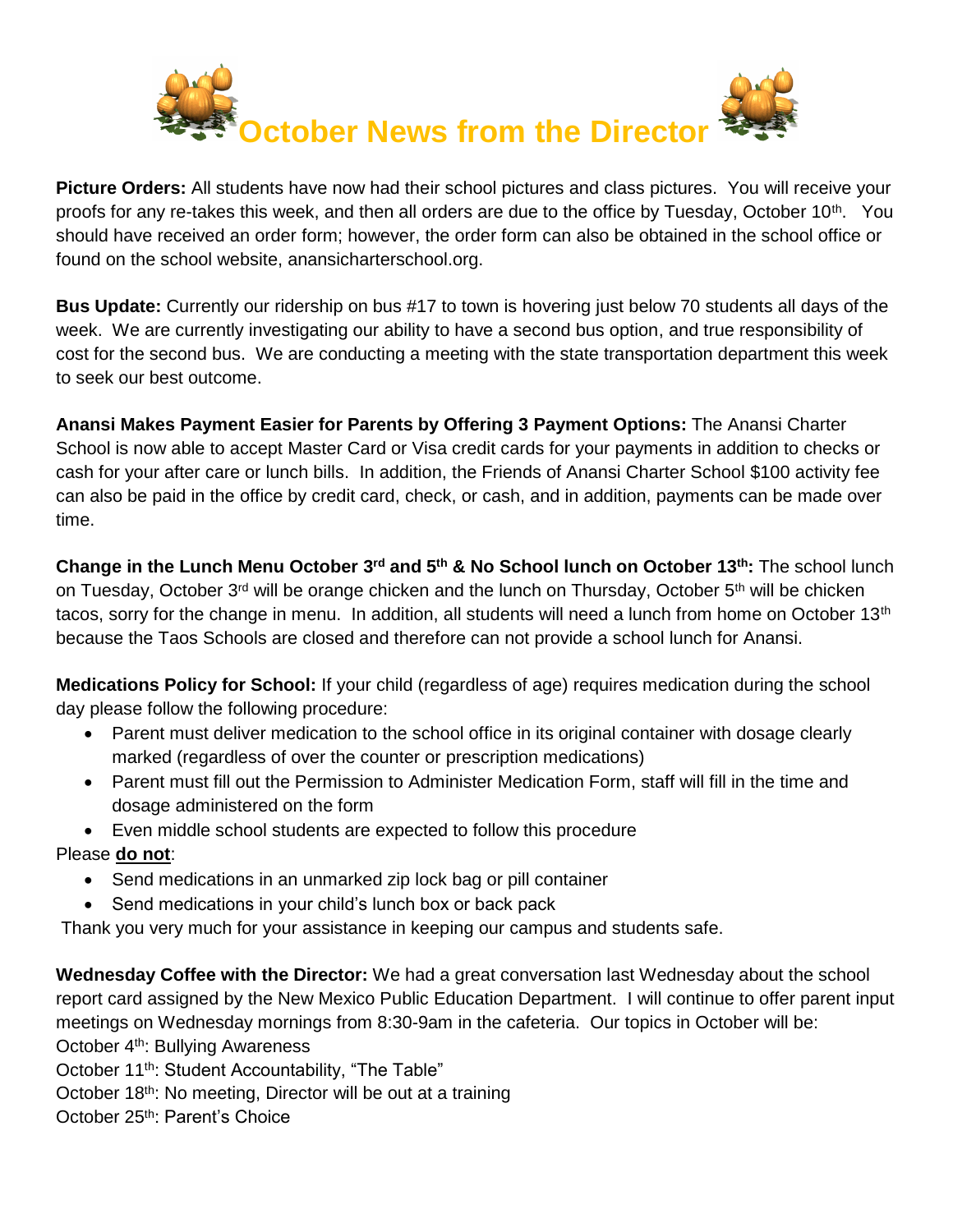

**Picture Orders:** All students have now had their school pictures and class pictures. You will receive your proofs for any re-takes this week, and then all orders are due to the office by Tuesday, October 10<sup>th</sup>. You should have received an order form; however, the order form can also be obtained in the school office or found on the school website, anansicharterschool.org.

**Bus Update:** Currently our ridership on bus #17 to town is hovering just below 70 students all days of the week. We are currently investigating our ability to have a second bus option, and true responsibility of cost for the second bus. We are conducting a meeting with the state transportation department this week to seek our best outcome.

**Anansi Makes Payment Easier for Parents by Offering 3 Payment Options:** The Anansi Charter School is now able to accept Master Card or Visa credit cards for your payments in addition to checks or cash for your after care or lunch bills. In addition, the Friends of Anansi Charter School \$100 activity fee can also be paid in the office by credit card, check, or cash, and in addition, payments can be made over time.

**Change in the Lunch Menu October 3<sup>rd</sup> and 5<sup>th</sup> & No School lunch on October 13<sup>th</sup>: The school lunch** on Tuesday, October 3<sup>rd</sup> will be orange chicken and the lunch on Thursday, October 5<sup>th</sup> will be chicken tacos, sorry for the change in menu. In addition, all students will need a lunch from home on October 13<sup>th</sup> because the Taos Schools are closed and therefore can not provide a school lunch for Anansi.

**Medications Policy for School:** If your child (regardless of age) requires medication during the school day please follow the following procedure:

- Parent must deliver medication to the school office in its original container with dosage clearly marked (regardless of over the counter or prescription medications)
- Parent must fill out the Permission to Administer Medication Form, staff will fill in the time and dosage administered on the form
- Even middle school students are expected to follow this procedure

Please **do not**:

- Send medications in an unmarked zip lock bag or pill container
- Send medications in your child's lunch box or back pack

Thank you very much for your assistance in keeping our campus and students safe.

**Wednesday Coffee with the Director:** We had a great conversation last Wednesday about the school report card assigned by the New Mexico Public Education Department. I will continue to offer parent input meetings on Wednesday mornings from 8:30-9am in the cafeteria. Our topics in October will be: October 4th: Bullying Awareness

October 11<sup>th</sup>: Student Accountability, "The Table"

October 18<sup>th</sup>: No meeting, Director will be out at a training

October 25<sup>th</sup>: Parent's Choice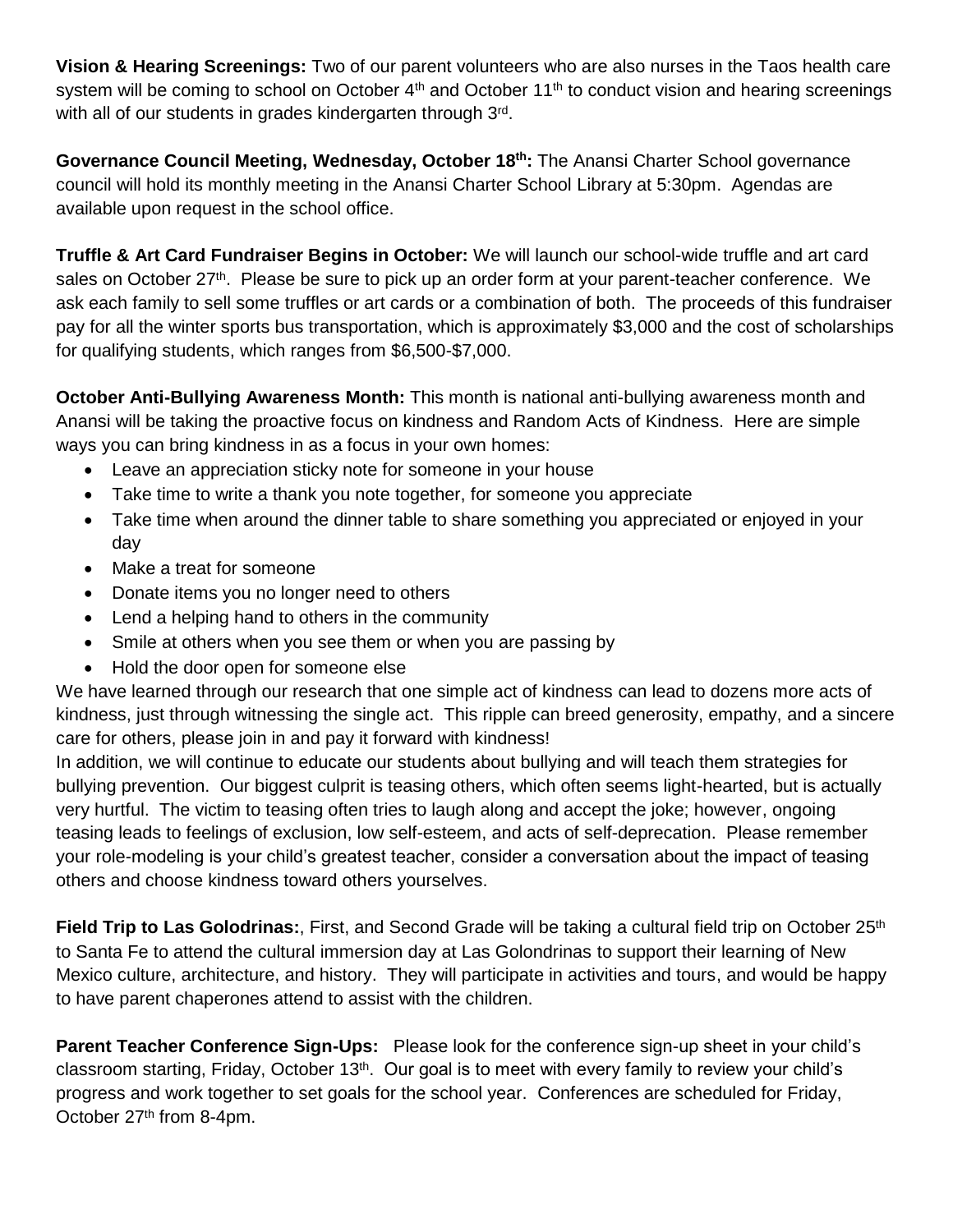**Vision & Hearing Screenings:** Two of our parent volunteers who are also nurses in the Taos health care system will be coming to school on October 4<sup>th</sup> and October 11<sup>th</sup> to conduct vision and hearing screenings with all of our students in grades kindergarten through 3rd.

Governance Council Meeting, Wednesday, October 18<sup>th</sup>: The Anansi Charter School governance council will hold its monthly meeting in the Anansi Charter School Library at 5:30pm. Agendas are available upon request in the school office.

**Truffle & Art Card Fundraiser Begins in October:** We will launch our school-wide truffle and art card sales on October 27<sup>th</sup>. Please be sure to pick up an order form at your parent-teacher conference. We ask each family to sell some truffles or art cards or a combination of both. The proceeds of this fundraiser pay for all the winter sports bus transportation, which is approximately \$3,000 and the cost of scholarships for qualifying students, which ranges from \$6,500-\$7,000.

**October Anti-Bullying Awareness Month:** This month is national anti-bullying awareness month and Anansi will be taking the proactive focus on kindness and Random Acts of Kindness. Here are simple ways you can bring kindness in as a focus in your own homes:

- Leave an appreciation sticky note for someone in your house
- Take time to write a thank you note together, for someone you appreciate
- Take time when around the dinner table to share something you appreciated or enjoyed in your day
- Make a treat for someone
- Donate items you no longer need to others
- Lend a helping hand to others in the community
- Smile at others when you see them or when you are passing by
- Hold the door open for someone else

We have learned through our research that one simple act of kindness can lead to dozens more acts of kindness, just through witnessing the single act. This ripple can breed generosity, empathy, and a sincere care for others, please join in and pay it forward with kindness!

In addition, we will continue to educate our students about bullying and will teach them strategies for bullying prevention. Our biggest culprit is teasing others, which often seems light-hearted, but is actually very hurtful. The victim to teasing often tries to laugh along and accept the joke; however, ongoing teasing leads to feelings of exclusion, low self-esteem, and acts of self-deprecation. Please remember your role-modeling is your child's greatest teacher, consider a conversation about the impact of teasing others and choose kindness toward others yourselves.

Field Trip to Las Golodrinas:, First, and Second Grade will be taking a cultural field trip on October 25<sup>th</sup> to Santa Fe to attend the cultural immersion day at Las Golondrinas to support their learning of New Mexico culture, architecture, and history. They will participate in activities and tours, and would be happy to have parent chaperones attend to assist with the children.

**Parent Teacher Conference Sign-Ups:** Please look for the conference sign-up sheet in your child's classroom starting, Friday, October 13<sup>th</sup>. Our goal is to meet with every family to review your child's progress and work together to set goals for the school year. Conferences are scheduled for Friday, October 27<sup>th</sup> from 8-4pm.